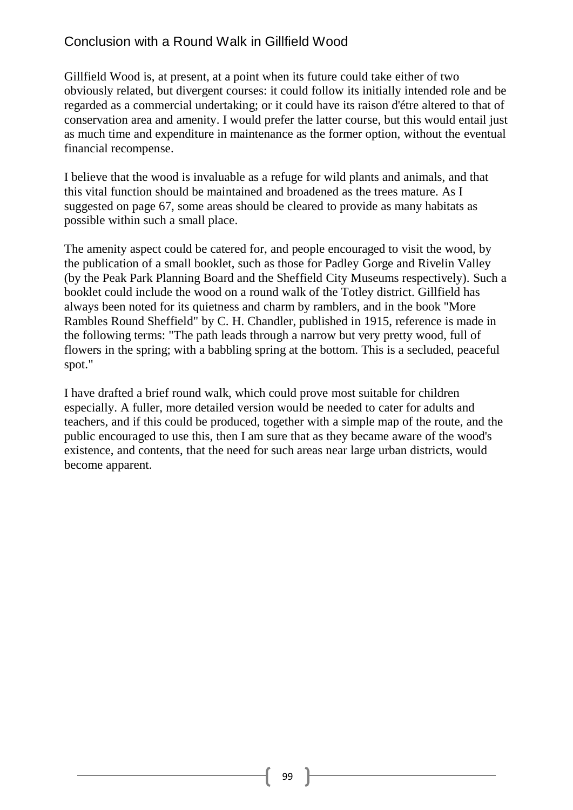## Conclusion with a Round Walk in Gillfield Wood

Gillfield Wood is, at present, at a point when its future could take either of two obviously related, but divergent courses: it could follow its initially intended role and be regarded as a commercial undertaking; or it could have its raison d'étre altered to that of conservation area and amenity. I would prefer the latter course, but this would entail just as much time and expenditure in maintenance as the former option, without the eventual financial recompense.

I believe that the wood is invaluable as a refuge for wild plants and animals, and that this vital function should be maintained and broadened as the trees mature. As I suggested on page 67, some areas should be cleared to provide as many habitats as possible within such a small place.

The amenity aspect could be catered for, and people encouraged to visit the wood, by the publication of a small booklet, such as those for Padley Gorge and Rivelin Valley (by the Peak Park Planning Board and the Sheffield City Museums respectively). Such a booklet could include the wood on a round walk of the Totley district. Gillfield has always been noted for its quietness and charm by ramblers, and in the book "More Rambles Round Sheffield" by C. H. Chandler, published in 1915, reference is made in the following terms: "The path leads through a narrow but very pretty wood, full of flowers in the spring; with a babbling spring at the bottom. This is a secluded, peaceful spot."

I have drafted a brief round walk, which could prove most suitable for children especially. A fuller, more detailed version would be needed to cater for adults and teachers, and if this could be produced, together with a simple map of the route, and the public encouraged to use this, then I am sure that as they became aware of the wood's existence, and contents, that the need for such areas near large urban districts, would become apparent.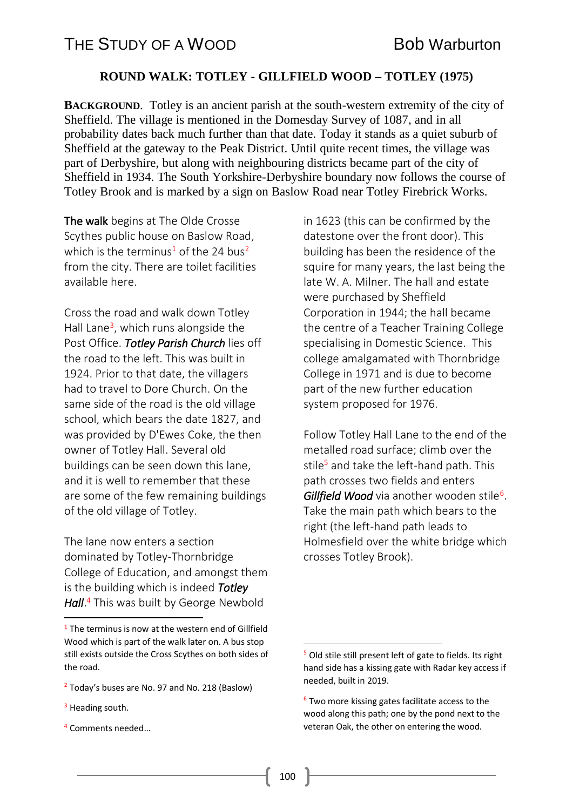## **ROUND WALK: TOTLEY - GILLFIELD WOOD – TOTLEY (1975)**

**BACKGROUND**. Totley is an ancient parish at the south-western extremity of the city of Sheffield. The village is mentioned in the Domesday Survey of 1087, and in all probability dates back much further than that date. Today it stands as a quiet suburb of Sheffield at the gateway to the Peak District. Until quite recent times, the village was part of Derbyshire, but along with neighbouring districts became part of the city of Sheffield in 1934. The South Yorkshire-Derbyshire boundary now follows the course of Totley Brook and is marked by a sign on Baslow Road near Totley Firebrick Works.

The walk begins at The Olde Crosse Scythes public house on Baslow Road, which is the terminus<sup>1</sup> of the 24 bus<sup>2</sup> from the city. There are toilet facilities available here.

Cross the road and walk down Totley Hall Lane<sup>3</sup>, which runs alongside the Post Office. *Totley Parish Church* lies off the road to the left. This was built in 1924. Prior to that date, the villagers had to travel to Dore Church. On the same side of the road is the old village school, which bears the date 1827, and was provided by D'Ewes Coke, the then owner of Totley Hall. Several old buildings can be seen down this lane, and it is well to remember that these are some of the few remaining buildings of the old village of Totley.

The lane now enters a section dominated by Totley-Thornbridge College of Education, and amongst them is the building which is indeed *Totley Hall*. <sup>4</sup> This was built by George Newbold

**.** 

<sup>4</sup> Comments needed…

in 1623 (this can be confirmed by the datestone over the front door). This building has been the residence of the squire for many years, the last being the late W. A. Milner. The hall and estate were purchased by Sheffield Corporation in 1944; the hall became the centre of a Teacher Training College specialising in Domestic Science. This college amalgamated with Thornbridge College in 1971 and is due to become part of the new further education system proposed for 1976.

Follow Totley Hall Lane to the end of the metalled road surface; climb over the stile<sup>5</sup> and take the left-hand path. This path crosses two fields and enters Gillfield Wood via another wooden stile<sup>6</sup>. Take the main path which bears to the right (the left-hand path leads to Holmesfield over the white bridge which crosses Totley Brook).

**.** 

 $1$  The terminus is now at the western end of Gillfield Wood which is part of the walk later on. A bus stop still exists outside the Cross Scythes on both sides of the road.

<sup>&</sup>lt;sup>2</sup> Today's buses are No. 97 and No. 218 (Baslow)

 $3$  Heading south.

<sup>&</sup>lt;sup>5</sup> Old stile still present left of gate to fields. Its right hand side has a kissing gate with Radar key access if needed, built in 2019.

 $6$  Two more kissing gates facilitate access to the wood along this path; one by the pond next to the veteran Oak, the other on entering the wood.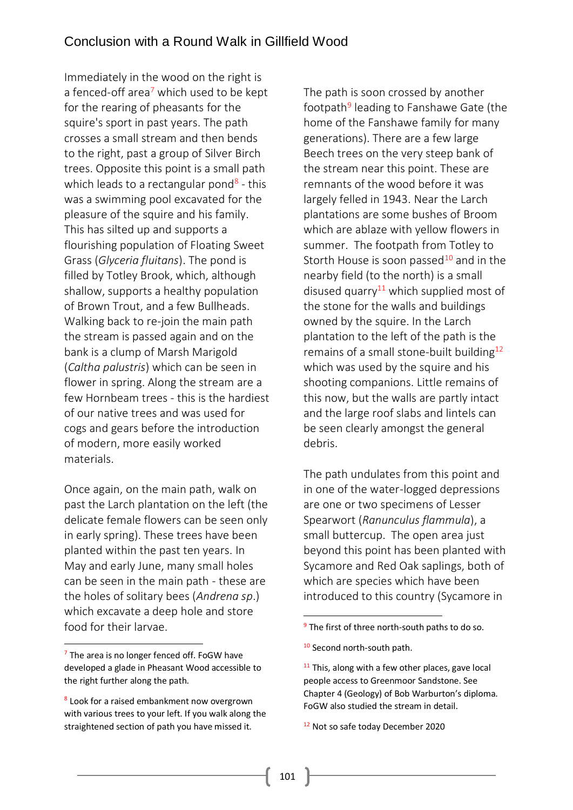Immediately in the wood on the right is a fenced-off area<sup>7</sup> which used to be kept for the rearing of pheasants for the squire's sport in past years. The path crosses a small stream and then bends to the right, past a group of Silver Birch trees. Opposite this point is a small path which leads to a rectangular pond<sup>8</sup> - this was a swimming pool excavated for the pleasure of the squire and his family. This has silted up and supports a flourishing population of Floating Sweet Grass (*Glyceria fluitans*). The pond is filled by Totley Brook, which, although shallow, supports a healthy population of Brown Trout, and a few Bullheads. Walking back to re-join the main path the stream is passed again and on the bank is a clump of Marsh Marigold (*Caltha palustris*) which can be seen in flower in spring. Along the stream are a few Hornbeam trees - this is the hardiest of our native trees and was used for cogs and gears before the introduction of modern, more easily worked materials.

Once again, on the main path, walk on past the Larch plantation on the left (the delicate female flowers can be seen only in early spring). These trees have been planted within the past ten years. In May and early June, many small holes can be seen in the main path - these are the holes of solitary bees (*Andrena sp*.) which excavate a deep hole and store food for their larvae.

**.** 

The path is soon crossed by another footpath<sup>9</sup> leading to Fanshawe Gate (the home of the Fanshawe family for many generations). There are a few large Beech trees on the very steep bank of the stream near this point. These are remnants of the wood before it was largely felled in 1943. Near the Larch plantations are some bushes of Broom which are ablaze with yellow flowers in summer. The footpath from Totley to Storth House is soon passed<sup>10</sup> and in the nearby field (to the north) is a small disused quarry<sup>11</sup> which supplied most of the stone for the walls and buildings owned by the squire. In the Larch plantation to the left of the path is the remains of a small stone-built building<sup>12</sup> which was used by the squire and his shooting companions. Little remains of this now, but the walls are partly intact and the large roof slabs and lintels can be seen clearly amongst the general debris.

The path undulates from this point and in one of the water-logged depressions are one or two specimens of Lesser Spearwort (*Ranunculus flammula*), a small buttercup. The open area just beyond this point has been planted with Sycamore and Red Oak saplings, both of which are species which have been introduced to this country (Sycamore in

**.** 

 $<sup>7</sup>$  The area is no longer fenced off. FoGW have</sup> developed a glade in Pheasant Wood accessible to the right further along the path.

<sup>&</sup>lt;sup>8</sup> Look for a raised embankment now overgrown with various trees to your left. If you walk along the straightened section of path you have missed it.

<sup>&</sup>lt;sup>9</sup> The first of three north-south paths to do so.

<sup>&</sup>lt;sup>10</sup> Second north-south path.

 $11$  This, along with a few other places, gave local people access to Greenmoor Sandstone. See Chapter 4 (Geology) of Bob Warburton's diploma. FoGW also studied the stream in detail.

<sup>&</sup>lt;sup>12</sup> Not so safe today December 2020